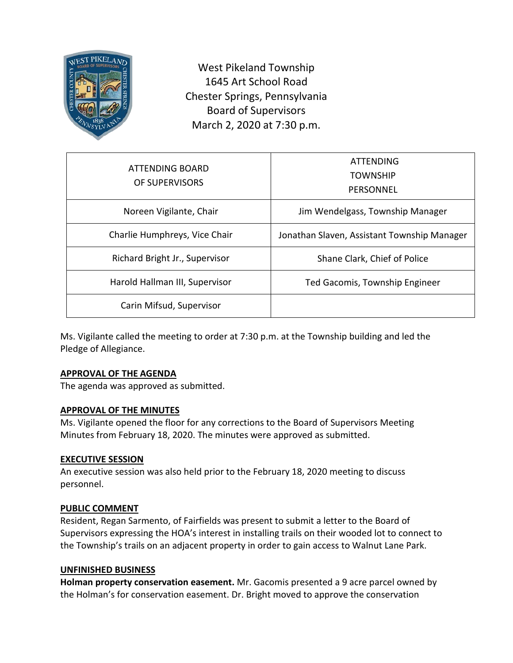

West Pikeland Township 1645 Art School Road Chester Springs, Pennsylvania Board of Supervisors March 2, 2020 at 7:30 p.m.

| ATTENDING BOARD<br>OF SUPERVISORS | ATTENDING<br><b>TOWNSHIP</b><br>PERSONNEL   |
|-----------------------------------|---------------------------------------------|
| Noreen Vigilante, Chair           | Jim Wendelgass, Township Manager            |
| Charlie Humphreys, Vice Chair     | Jonathan Slaven, Assistant Township Manager |
| Richard Bright Jr., Supervisor    | Shane Clark, Chief of Police                |
| Harold Hallman III, Supervisor    | Ted Gacomis, Township Engineer              |
| Carin Mifsud, Supervisor          |                                             |

Ms. Vigilante called the meeting to order at 7:30 p.m. at the Township building and led the Pledge of Allegiance.

## **APPROVAL OF THE AGENDA**

The agenda was approved as submitted.

## **APPROVAL OF THE MINUTES**

Ms. Vigilante opened the floor for any corrections to the Board of Supervisors Meeting Minutes from February 18, 2020. The minutes were approved as submitted.

## **EXECUTIVE SESSION**

An executive session was also held prior to the February 18, 2020 meeting to discuss personnel.

### **PUBLIC COMMENT**

Resident, Regan Sarmento, of Fairfields was present to submit a letter to the Board of Supervisors expressing the HOA's interest in installing trails on their wooded lot to connect to the Township's trails on an adjacent property in order to gain access to Walnut Lane Park.

### **UNFINISHED BUSINESS**

**Holman property conservation easement.** Mr. Gacomis presented a 9 acre parcel owned by the Holman's for conservation easement. Dr. Bright moved to approve the conservation